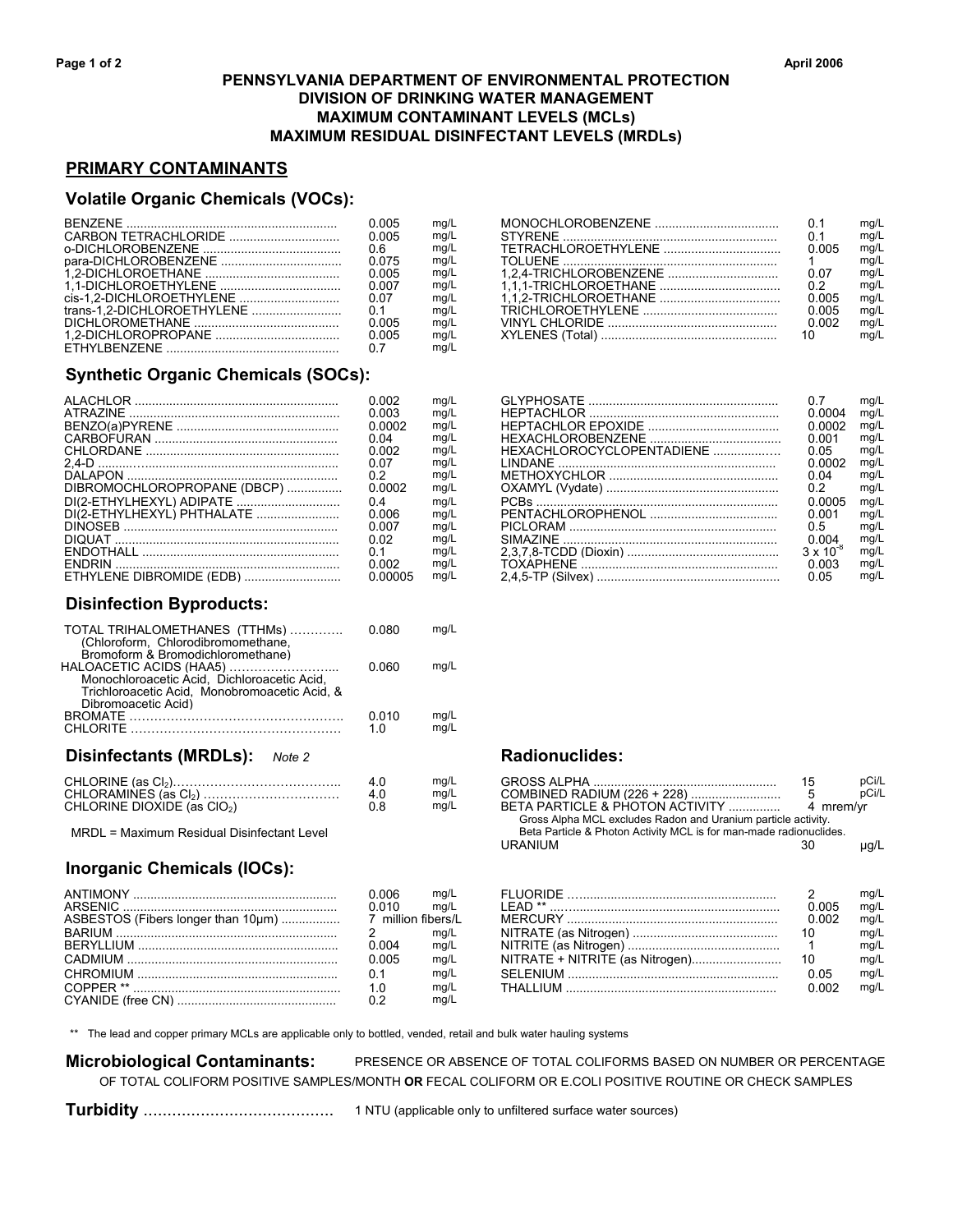## **PENNSYLVANIA DEPARTMENT OF ENVIRONMENTAL PROTECTION DIVISION OF DRINKING WATER MANAGEMENT MAXIMUM CONTAMINANT LEVELS (MCLs) MAXIMUM RESIDUAL DISINFECTANT LEVELS (MRDLs)**

# **PRIMARY CONTAMINANTS**

#### **Volatile Organic Chemicals (VOCs):**

| 0.005 | ma/L | 0.1   | mg/L |
|-------|------|-------|------|
| 0.005 | ma/L | 0.1   | mq/L |
| 0.6   | ma/L | 0.005 | ma/L |
| 0.075 | ma/L |       | mq/L |
| 0.005 | mg/L | 0.07  | mq/L |
| 0.007 | ma/L | 0.2   | mq/L |
|       | ma/L | 0.005 | mq/L |
| 0.1   | ma/L | 0.005 | mq/L |
| 0.005 | ma/L | 0.002 | mg/L |
| 0.005 | ma/L |       | mq/L |
| 0.7   | ma/L |       |      |

# **Synthetic Organic Chemicals (SOCs):**

|                             | 0 002  | mg/L |                           |                    | mg/L |
|-----------------------------|--------|------|---------------------------|--------------------|------|
|                             | 0.003  | mg/L |                           | Ი ᲘᲘᲘ4             | mg/L |
|                             | 0.0002 | ma/L |                           | 0 0002             | mq/L |
|                             | 0 Q4   | ma/L |                           | ი იი1              | mg/L |
|                             | 0.002  | ma/L | HEXACHLOROCYCLOPENTADIENE | 0.05               | mg/L |
|                             | 0.07   | ma/L |                           | 0.0002             | mg/L |
|                             | 0.2    | ma/L |                           | 0.04               | mg/L |
| DIBROMOCHLOROPROPANE (DBCP) | 0.0002 | mg/L |                           | 0.2                | mg/L |
|                             | 0.4    | mg/L |                           | 0.0005             | mq/L |
| DI(2-ETHYLHEXYL) PHTHALATE  | 0.006  | ma/L |                           | 0.001              | mg/L |
|                             | 0.007  | ma/L |                           | 0.5                | ma/L |
|                             | 0 02   | ma/L |                           | 0 004              | mg/L |
|                             | 0.1    | ma/L |                           | $3 \times 10^{-8}$ | mg/L |
|                             | 0.002  | ma/L |                           | 0.003              | mg/L |
| ETHYLENE DIBROMIDE (EDB)    |        | ma/L |                           | 0.05               | ma/L |

# **Disinfection Byproducts:**

| TOTAL TRIHALOMETHANES (TTHMs)<br>(Chloroform, Chlorodibromomethane,<br>Bromoform & Bromodichloromethane)                                       | 0.080        | ma/L         |
|------------------------------------------------------------------------------------------------------------------------------------------------|--------------|--------------|
| HALOACETIC ACIDS (HAA5)<br>Monochloroacetic Acid. Dichloroacetic Acid.<br>Trichloroacetic Acid. Monobromoacetic Acid. &<br>Dibromoacetic Acid) | 0.060        | mg/L         |
| <b>BROMATE</b>                                                                                                                                 | 0.010<br>1 በ | mq/L<br>mg/L |
| Disinfectants (MRDLs):<br>Note 2                                                                                                               |              |              |
|                                                                                                                                                |              |              |

|                                   | ,,,,,, | GRUSS ALFOA                                                       |         |
|-----------------------------------|--------|-------------------------------------------------------------------|---------|
| CHLORAMINES (as CI <sub>2</sub> ) | ma/L   | COMBINED RADIUM (226 + 228)                                       |         |
| CHLORINE DIOXIDE (as $ClO2$ )     | ma/L   | BETA PARTICLE & PHOTON ACTIVITY                                   | mrem/vr |
|                                   |        | Ossaa Alaba MOL arritridaa Dadax asul Heestring sadtala aattiikii |         |

ANTIMONY ........................................................... 0.006 mg/L FLUORIDE .…........................................................ 2 mg/L

CYANIDE (free CN) .............................................. 0.2 mg/L

 CHROMIUM .......................................................... COPPER \*\* ...........................................................

### **Inorganic Chemicals (IOCs):**

|                                                                                                               | 0.005 | ma/L |                                                                                                                                                                                                                                |       | ma/L |
|---------------------------------------------------------------------------------------------------------------|-------|------|--------------------------------------------------------------------------------------------------------------------------------------------------------------------------------------------------------------------------------|-------|------|
|                                                                                                               | 0.6   | mq/L |                                                                                                                                                                                                                                | 0.005 | ma/L |
|                                                                                                               | 0.075 | mq/L |                                                                                                                                                                                                                                |       | mq/L |
|                                                                                                               | 0.005 | mq/L |                                                                                                                                                                                                                                | 0.07  | ma/L |
|                                                                                                               | 0.007 | ma/L |                                                                                                                                                                                                                                | 0.2   | ma/L |
|                                                                                                               | 0.07  | ma/L |                                                                                                                                                                                                                                | 0.005 | ma/L |
|                                                                                                               |       | ma/L |                                                                                                                                                                                                                                | 0.005 | ma/L |
|                                                                                                               | 0.005 | mg/L |                                                                                                                                                                                                                                | ი იიዖ | ma/L |
| 1 2-DICHI OROPROPANE DI DINA MATALA DALL'INTERNATIONALE ANNO 1999 ANNO 1999 ANNO 1999 ANNO 1999 ANNO 1999 ANN | 0.005 | ma/L | XYI ENES (Total) And the contract of the contract of the contract of the contract of the contract of the contract of the contract of the contract of the contract of the contract of the contract of the contract of the contr |       | ma/L |

BENZENE ............................................................. 0.005 mg/L MONOCHLOROBENZENE .................................... 0.1 mg/L

|                           | 0.7                | mq/L |
|---------------------------|--------------------|------|
|                           | 0.0004             | mg/L |
|                           | 0.0002             | mg/L |
|                           | 0.001              | mg/L |
| HEXACHLOROCYCLOPENTADIENE | 0 05               | mg/L |
| I INDANF                  | 0.0002             | mg/L |
|                           | 0 Q4               | mg/L |
|                           | 02                 | mg/L |
|                           | 0.0005             | mg/L |
|                           | 0.001              | mg/L |
|                           | 05                 | mg/L |
|                           | 0.004              | mg/L |
|                           | $3 \times 10^{-8}$ | mg/L |
|                           | 0.003              | mg/L |
|                           | 0.05               | mq/L |

# $Radionuclides:$

|                                            | 4.0 | mg/L |                                                                    | 15        | pCi/L |
|--------------------------------------------|-----|------|--------------------------------------------------------------------|-----------|-------|
|                                            | 4.0 | mg/L |                                                                    |           | pCi/L |
| CHLORINE DIOXIDE (as $ClO2$ )              | 0.8 | mg/L | BETA PARTICLE & PHOTON ACTIVITY                                    | 4 mrem/vr |       |
|                                            |     |      | Gross Alpha MCL excludes Radon and Uranium particle activity.      |           |       |
| MRDL = Maximum Residual Disinfectant Level |     |      | Beta Particle & Photon Activity MCL is for man-made radionuclides. |           |       |
|                                            |     |      | URANIUM                                                            | 30        | µg/L  |

|                                    | .006             | ma/L |        | ma/L |
|------------------------------------|------------------|------|--------|------|
|                                    |                  | ma/L | FAD ** | ma/L |
| ASBESTOS (Fibers longer than 10um) | million fibers/l |      |        | ma/L |
|                                    |                  | ma/L |        | ma/L |
|                                    |                  | ma/L |        | ma/L |
|                                    | ი იი5            | ma/L |        | ma/L |
|                                    | 0.1              | ma/L |        | ma/L |
|                                    |                  | ma/L |        | ma/L |

\*\* The lead and copper primary MCLs are applicable only to bottled, vended, retail and bulk water hauling systems

 **Microbiological Contaminants:** PRESENCE OR ABSENCE OF TOTAL COLIFORMS BASED ON NUMBER OR PERCENTAGE OF TOTAL COLIFORM POSITIVE SAMPLES/MONTH **OR** FECAL COLIFORM OR E.COLI POSITIVE ROUTINE OR CHECK SAMPLES

 **Turbidity** ........................................ 1 NTU (applicable only to unfiltered surface water sources)